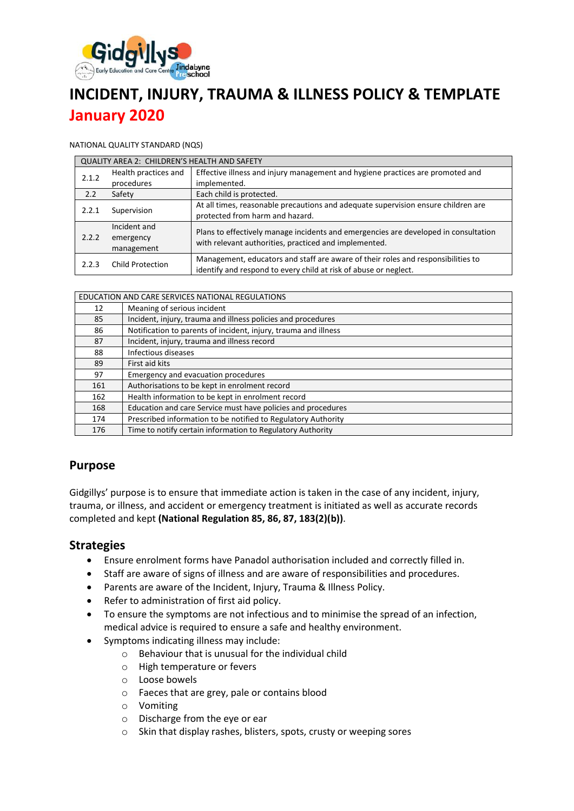

# **INCIDENT, INJURY, TRAUMA & ILLNESS POLICY & TEMPLATE January 2020**

#### NATIONAL QUALITY STANDARD (NQS)

| <b>QUALITY AREA 2: CHILDREN'S HEALTH AND SAFETY</b> |                                         |                                                                                                                                                      |  |  |  |
|-----------------------------------------------------|-----------------------------------------|------------------------------------------------------------------------------------------------------------------------------------------------------|--|--|--|
| 2.1.2                                               | Health practices and<br>procedures      | Effective illness and injury management and hygiene practices are promoted and<br>implemented.                                                       |  |  |  |
| 2.2                                                 | Safety                                  | Each child is protected.                                                                                                                             |  |  |  |
| 2.2.1                                               | Supervision                             | At all times, reasonable precautions and adequate supervision ensure children are<br>protected from harm and hazard.                                 |  |  |  |
| 2.2.2                                               | Incident and<br>emergency<br>management | Plans to effectively manage incidents and emergencies are developed in consultation<br>with relevant authorities, practiced and implemented.         |  |  |  |
| 2.2.3                                               | Child Protection                        | Management, educators and staff are aware of their roles and responsibilities to<br>identify and respond to every child at risk of abuse or neglect. |  |  |  |

| EDUCATION AND CARE SERVICES NATIONAL REGULATIONS |                                                                 |  |
|--------------------------------------------------|-----------------------------------------------------------------|--|
| 12                                               | Meaning of serious incident                                     |  |
| 85                                               | Incident, injury, trauma and illness policies and procedures    |  |
| 86                                               | Notification to parents of incident, injury, trauma and illness |  |
| 87                                               | Incident, injury, trauma and illness record                     |  |
| 88                                               | Infectious diseases                                             |  |
| 89                                               | First aid kits                                                  |  |
| 97                                               | Emergency and evacuation procedures                             |  |
| 161                                              | Authorisations to be kept in enrolment record                   |  |
| 162                                              | Health information to be kept in enrolment record               |  |
| 168                                              | Education and care Service must have policies and procedures    |  |
| 174                                              | Prescribed information to be notified to Regulatory Authority   |  |
| 176                                              | Time to notify certain information to Regulatory Authority      |  |

### **Purpose**

Gidgillys' purpose is to ensure that immediate action is taken in the case of any incident, injury, trauma, or illness, and accident or emergency treatment is initiated as well as accurate records completed and kept **(National Regulation 85, 86, 87, 183(2)(b))**.

### **Strategies**

- Ensure enrolment forms have Panadol authorisation included and correctly filled in.
- Staff are aware of signs of illness and are aware of responsibilities and procedures.
- Parents are aware of the Incident, Injury, Trauma & Illness Policy.
- Refer to administration of first aid policy.
- To ensure the symptoms are not infectious and to minimise the spread of an infection, medical advice is required to ensure a safe and healthy environment.
- Symptoms indicating illness may include:
	- o Behaviour that is unusual for the individual child
	- o High temperature or fevers
	- o Loose bowels
	- o Faeces that are grey, pale or contains blood
	- o Vomiting
	- o Discharge from the eye or ear
	- o Skin that display rashes, blisters, spots, crusty or weeping sores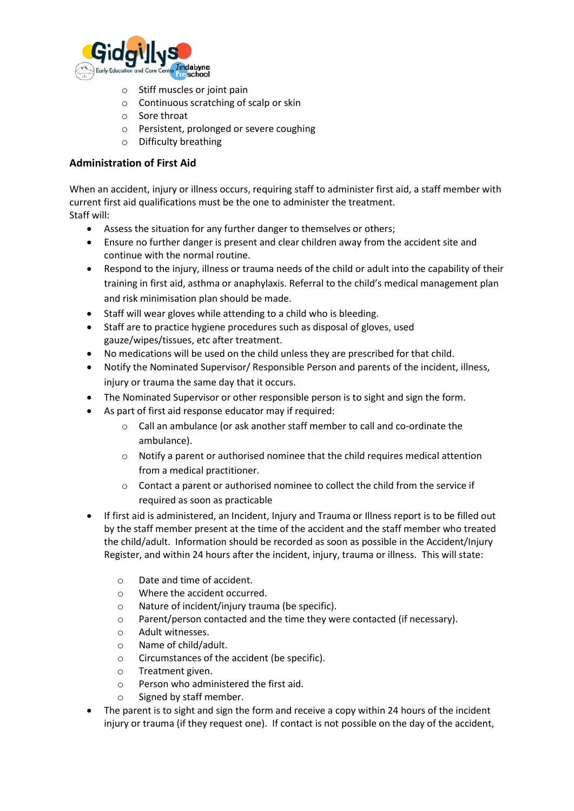

- o Stiff muscles or joint pain
- o Continuous scratching of scalp or skin
- o Sore throat
- o Persistent, prolonged or severe coughing
- o Difficulty breathing

#### **Administration of First Aid**

When an accident, injury or illness occurs, requiring staff to administer first aid, a staff member with current first aid qualifications must be the one to administer the treatment. Staff will:

- Assess the situation for any further danger to themselves or others;
- Ensure no further danger is present and clear children away from the accident site and continue with the normal routine.
- Respond to the injury, illness or trauma needs of the child or adult into the capability of their training in first aid, asthma or anaphylaxis. Referral to the child's medical management plan and risk minimisation plan should be made.
- Staff will wear gloves while attending to a child who is bleeding.
- Staff are to practice hygiene procedures such as disposal of gloves, used gauze/wipes/tissues, etc after treatment.
- No medications will be used on the child unless they are prescribed for that child.
- Notify the Nominated Supervisor/ Responsible Person and parents of the incident, illness, injury or trauma the same day that it occurs.
- The Nominated Supervisor or other responsible person is to sight and sign the form.
- As part of first aid response educator may if required:
	- o Call an ambulance (or ask another staff member to call and co-ordinate the ambulance).
	- o Notify a parent or authorised nominee that the child requires medical attention from a medical practitioner.
	- o Contact a parent or authorised nominee to collect the child from the service if required as soon as practicable
- If first aid is administered, an Incident, Injury and Trauma or Illness report is to be filled out by the staff member present at the time of the accident and the staff member who treated the child/adult. Information should be recorded as soon as possible in the Accident/Injury Register, and within 24 hours after the incident, injury, trauma or illness. This will state:
	- o Date and time of accident.
	- o Where the accident occurred.
	- o Nature of incident/injury trauma (be specific).
	- o Parent/person contacted and the time they were contacted (if necessary).
	- o Adult witnesses.
	- o Name of child/adult.
	- o Circumstances of the accident (be specific).
	- o Treatment given.
	- o Person who administered the first aid.
	- o Signed by staff member.
- The parent is to sight and sign the form and receive a copy within 24 hours of the incident injury or trauma (if they request one). If contact is not possible on the day of the accident,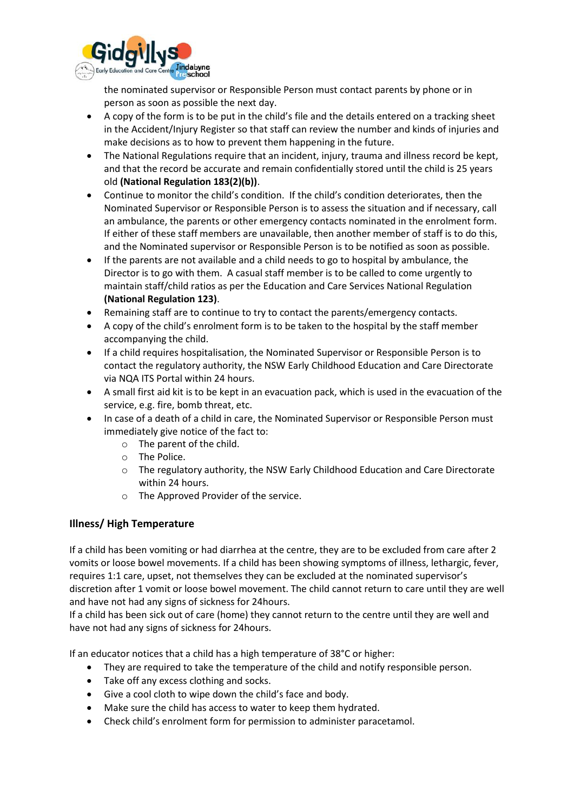

the nominated supervisor or Responsible Person must contact parents by phone or in person as soon as possible the next day.

- A copy of the form is to be put in the child's file and the details entered on a tracking sheet in the Accident/Injury Register so that staff can review the number and kinds of injuries and make decisions as to how to prevent them happening in the future.
- The National Regulations require that an incident, injury, trauma and illness record be kept, and that the record be accurate and remain confidentially stored until the child is 25 years old **(National Regulation 183(2)(b))**.
- Continue to monitor the child's condition. If the child's condition deteriorates, then the Nominated Supervisor or Responsible Person is to assess the situation and if necessary, call an ambulance, the parents or other emergency contacts nominated in the enrolment form. If either of these staff members are unavailable, then another member of staff is to do this, and the Nominated supervisor or Responsible Person is to be notified as soon as possible.
- If the parents are not available and a child needs to go to hospital by ambulance, the Director is to go with them. A casual staff member is to be called to come urgently to maintain staff/child ratios as per the Education and Care Services National Regulation **(National Regulation 123)**.
- Remaining staff are to continue to try to contact the parents/emergency contacts.
- A copy of the child's enrolment form is to be taken to the hospital by the staff member accompanying the child.
- If a child requires hospitalisation, the Nominated Supervisor or Responsible Person is to contact the regulatory authority, the NSW Early Childhood Education and Care Directorate via NQA ITS Portal within 24 hours.
- A small first aid kit is to be kept in an evacuation pack, which is used in the evacuation of the service, e.g. fire, bomb threat, etc.
- In case of a death of a child in care, the Nominated Supervisor or Responsible Person must immediately give notice of the fact to:
	- o The parent of the child.
	- o The Police.
	- o The regulatory authority, the NSW Early Childhood Education and Care Directorate within 24 hours.
	- o The Approved Provider of the service.

#### **Illness/ High Temperature**

If a child has been vomiting or had diarrhea at the centre, they are to be excluded from care after 2 vomits or loose bowel movements. If a child has been showing symptoms of illness, lethargic, fever, requires 1:1 care, upset, not themselves they can be excluded at the nominated supervisor's discretion after 1 vomit or loose bowel movement. The child cannot return to care until they are well and have not had any signs of sickness for 24hours.

If a child has been sick out of care (home) they cannot return to the centre until they are well and have not had any signs of sickness for 24hours.

If an educator notices that a child has a high temperature of 38°C or higher:

- They are required to take the temperature of the child and notify responsible person.
- Take off any excess clothing and socks.
- Give a cool cloth to wipe down the child's face and body.
- Make sure the child has access to water to keep them hydrated.
- Check child's enrolment form for permission to administer paracetamol.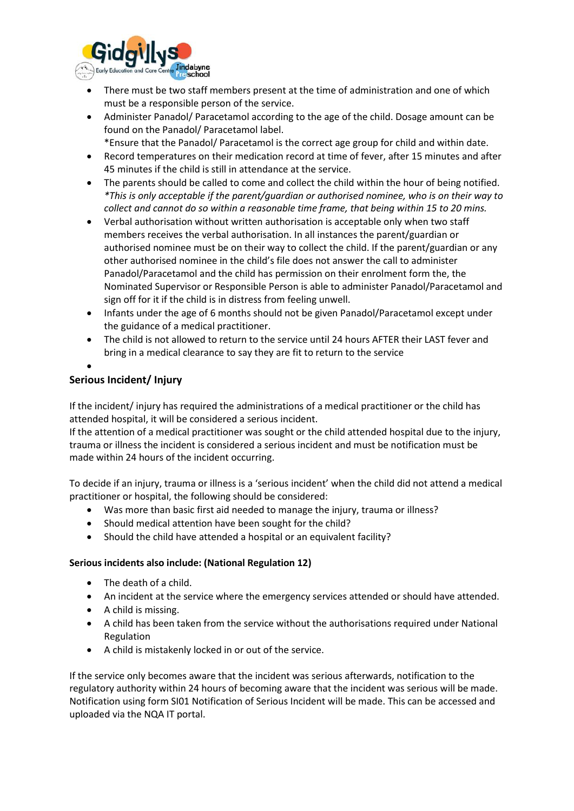

- There must be two staff members present at the time of administration and one of which must be a responsible person of the service.
- Administer Panadol/ Paracetamol according to the age of the child. Dosage amount can be found on the Panadol/ Paracetamol label.
	- \*Ensure that the Panadol/ Paracetamol is the correct age group for child and within date.
- Record temperatures on their medication record at time of fever, after 15 minutes and after 45 minutes if the child is still in attendance at the service.
- The parents should be called to come and collect the child within the hour of being notified. *\*This is only acceptable if the parent/guardian or authorised nominee, who is on their way to collect and cannot do so within a reasonable time frame, that being within 15 to 20 mins.*
- Verbal authorisation without written authorisation is acceptable only when two staff members receives the verbal authorisation. In all instances the parent/guardian or authorised nominee must be on their way to collect the child. If the parent/guardian or any other authorised nominee in the child's file does not answer the call to administer Panadol/Paracetamol and the child has permission on their enrolment form the, the Nominated Supervisor or Responsible Person is able to administer Panadol/Paracetamol and sign off for it if the child is in distress from feeling unwell.
- Infants under the age of 6 months should not be given Panadol/Paracetamol except under the guidance of a medical practitioner.
- The child is not allowed to return to the service until 24 hours AFTER their LAST fever and bring in a medical clearance to say they are fit to return to the service
- •

### **Serious Incident/ Injury**

If the incident/ injury has required the administrations of a medical practitioner or the child has attended hospital, it will be considered a serious incident.

If the attention of a medical practitioner was sought or the child attended hospital due to the injury, trauma or illness the incident is considered a serious incident and must be notification must be made within 24 hours of the incident occurring.

To decide if an injury, trauma or illness is a 'serious incident' when the child did not attend a medical practitioner or hospital, the following should be considered:

- Was more than basic first aid needed to manage the injury, trauma or illness?
- Should medical attention have been sought for the child?
- Should the child have attended a hospital or an equivalent facility?

#### **Serious incidents also include: (National Regulation 12)**

- The death of a child.
- An incident at the service where the emergency services attended or should have attended.
- A child is missing.
- A child has been taken from the service without the authorisations required under National Regulation
- A child is mistakenly locked in or out of the service.

If the service only becomes aware that the incident was serious afterwards, notification to the regulatory authority within 24 hours of becoming aware that the incident was serious will be made. Notification using form SI01 Notification of Serious Incident will be made. This can be accessed and uploaded via the NQA IT portal.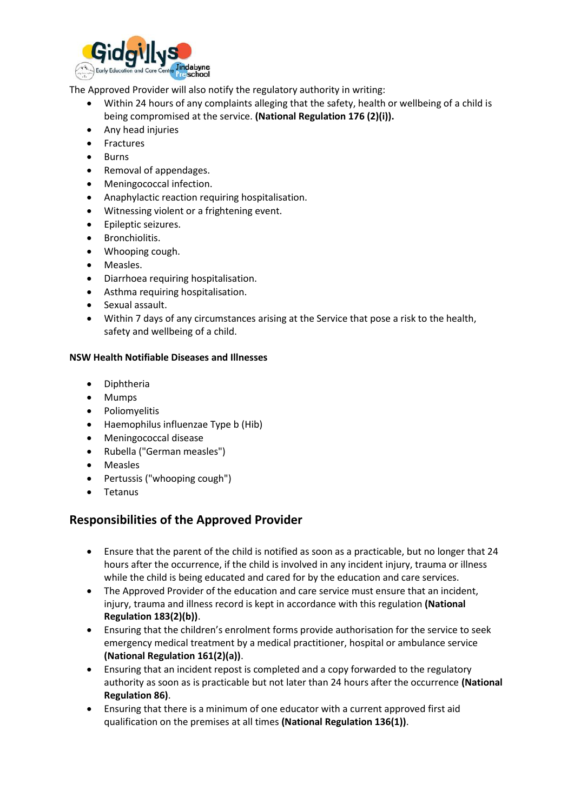

The Approved Provider will also notify the regulatory authority in writing:

- Within 24 hours of any complaints alleging that the safety, health or wellbeing of a child is being compromised at the service. **(National Regulation 176 (2)(i)).**
- Any head injuries
- Fractures
- Burns
- Removal of appendages.
- Meningococcal infection.
- Anaphylactic reaction requiring hospitalisation.
- Witnessing violent or a frightening event.
- Epileptic seizures.
- Bronchiolitis.
- Whooping cough.
- Measles.
- Diarrhoea requiring hospitalisation.
- Asthma requiring hospitalisation.
- Sexual assault.
- Within 7 days of any circumstances arising at the Service that pose a risk to the health, safety and wellbeing of a child.

#### **NSW Health Notifiable Diseases and Illnesses**

- Diphtheria
- Mumps
- Poliomyelitis
- Haemophilus influenzae Type b (Hib)
- Meningococcal disease
- Rubella ("German measles")
- **Measles**
- Pertussis ("whooping cough")
- **Tetanus**

### **Responsibilities of the Approved Provider**

- Ensure that the parent of the child is notified as soon as a practicable, but no longer that 24 hours after the occurrence, if the child is involved in any incident injury, trauma or illness while the child is being educated and cared for by the education and care services.
- The Approved Provider of the education and care service must ensure that an incident, injury, trauma and illness record is kept in accordance with this regulation **(National Regulation 183(2)(b))**.
- Ensuring that the children's enrolment forms provide authorisation for the service to seek emergency medical treatment by a medical practitioner, hospital or ambulance service **(National Regulation 161(2)(a))**.
- Ensuring that an incident repost is completed and a copy forwarded to the regulatory authority as soon as is practicable but not later than 24 hours after the occurrence **(National Regulation 86)**.
- Ensuring that there is a minimum of one educator with a current approved first aid qualification on the premises at all times **(National Regulation 136(1))**.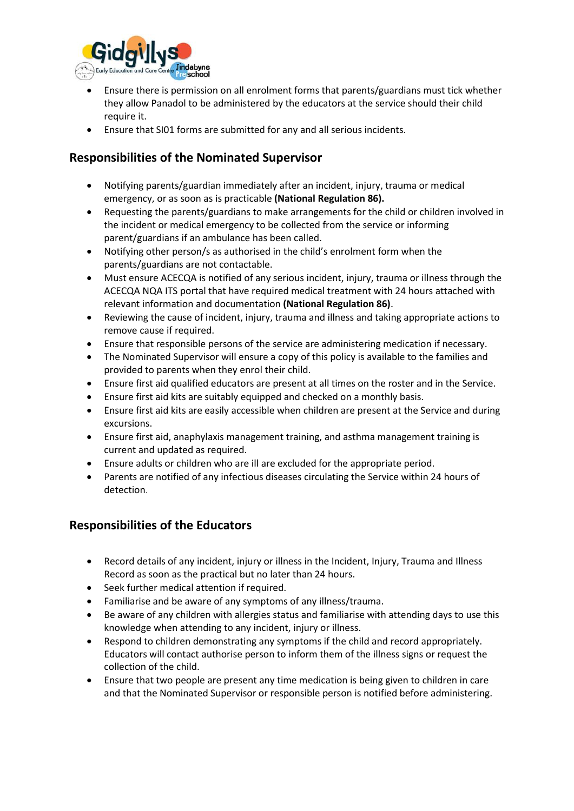

- Ensure there is permission on all enrolment forms that parents/guardians must tick whether they allow Panadol to be administered by the educators at the service should their child require it.
- Ensure that SI01 forms are submitted for any and all serious incidents.

## **Responsibilities of the Nominated Supervisor**

- Notifying parents/guardian immediately after an incident, injury, trauma or medical emergency, or as soon as is practicable **(National Regulation 86).**
- Requesting the parents/guardians to make arrangements for the child or children involved in the incident or medical emergency to be collected from the service or informing parent/guardians if an ambulance has been called.
- Notifying other person/s as authorised in the child's enrolment form when the parents/guardians are not contactable.
- Must ensure ACECQA is notified of any serious incident, injury, trauma or illness through the ACECQA NQA ITS portal that have required medical treatment with 24 hours attached with relevant information and documentation **(National Regulation 86)**.
- Reviewing the cause of incident, injury, trauma and illness and taking appropriate actions to remove cause if required.
- Ensure that responsible persons of the service are administering medication if necessary.
- The Nominated Supervisor will ensure a copy of this policy is available to the families and provided to parents when they enrol their child.
- Ensure first aid qualified educators are present at all times on the roster and in the Service.
- Ensure first aid kits are suitably equipped and checked on a monthly basis.
- Ensure first aid kits are easily accessible when children are present at the Service and during excursions.
- Ensure first aid, anaphylaxis management training, and asthma management training is current and updated as required.
- Ensure adults or children who are ill are excluded for the appropriate period.
- Parents are notified of any infectious diseases circulating the Service within 24 hours of detection.

### **Responsibilities of the Educators**

- Record details of any incident, injury or illness in the Incident, Injury, Trauma and Illness Record as soon as the practical but no later than 24 hours.
- Seek further medical attention if required.
- Familiarise and be aware of any symptoms of any illness/trauma.
- Be aware of any children with allergies status and familiarise with attending days to use this knowledge when attending to any incident, injury or illness.
- Respond to children demonstrating any symptoms if the child and record appropriately. Educators will contact authorise person to inform them of the illness signs or request the collection of the child.
- Ensure that two people are present any time medication is being given to children in care and that the Nominated Supervisor or responsible person is notified before administering.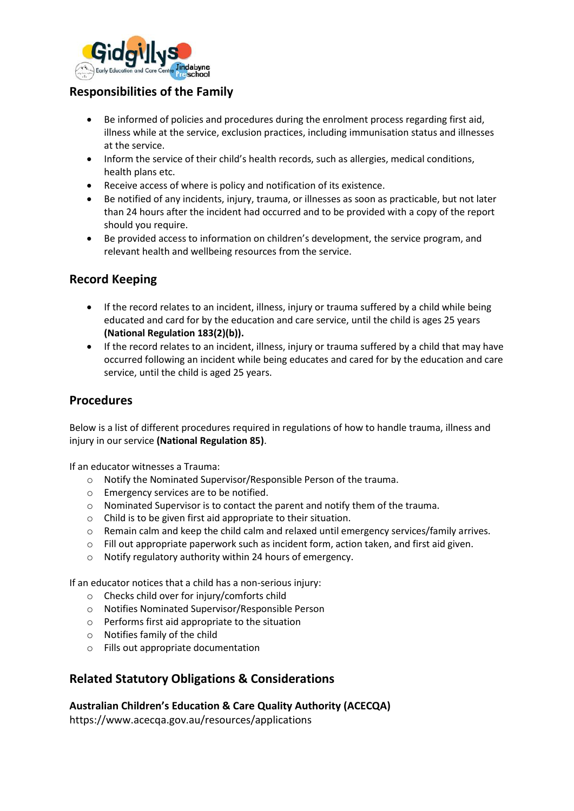

# **Responsibilities of the Family**

- Be informed of policies and procedures during the enrolment process regarding first aid, illness while at the service, exclusion practices, including immunisation status and illnesses at the service.
- Inform the service of their child's health records, such as allergies, medical conditions, health plans etc.
- Receive access of where is policy and notification of its existence.
- Be notified of any incidents, injury, trauma, or illnesses as soon as practicable, but not later than 24 hours after the incident had occurred and to be provided with a copy of the report should you require.
- Be provided access to information on children's development, the service program, and relevant health and wellbeing resources from the service.

### **Record Keeping**

- If the record relates to an incident, illness, injury or trauma suffered by a child while being educated and card for by the education and care service, until the child is ages 25 years **(National Regulation 183(2)(b)).**
- If the record relates to an incident, illness, injury or trauma suffered by a child that may have occurred following an incident while being educates and cared for by the education and care service, until the child is aged 25 years.

### **Procedures**

Below is a list of different procedures required in regulations of how to handle trauma, illness and injury in our service **(National Regulation 85)**.

If an educator witnesses a Trauma:

- o Notify the Nominated Supervisor/Responsible Person of the trauma.
- o Emergency services are to be notified.
- o Nominated Supervisor is to contact the parent and notify them of the trauma.
- o Child is to be given first aid appropriate to their situation.
- o Remain calm and keep the child calm and relaxed until emergency services/family arrives.
- $\circ$  Fill out appropriate paperwork such as incident form, action taken, and first aid given.
- o Notify regulatory authority within 24 hours of emergency.

If an educator notices that a child has a non-serious injury:

- o Checks child over for injury/comforts child
- o Notifies Nominated Supervisor/Responsible Person
- o Performs first aid appropriate to the situation
- o Notifies family of the child
- o Fills out appropriate documentation

### **Related Statutory Obligations & Considerations**

#### **Australian Children's Education & Care Quality Authority (ACECQA)**

https://www.acecqa.gov.au/resources/applications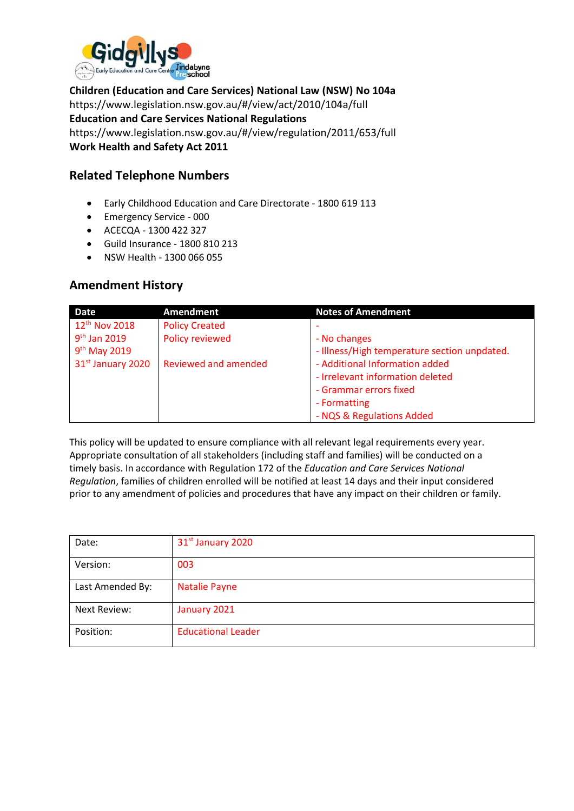

**Children (Education and Care Services) National Law (NSW) No 104a** https://www.legislation.nsw.gov.au/#/view/act/2010/104a/full **Education and Care Services National Regulations**  https://www.legislation.nsw.gov.au/#/view/regulation/2011/653/full **Work Health and Safety Act 2011**

### **Related Telephone Numbers**

- Early Childhood Education and Care Directorate 1800 619 113
- Emergency Service 000
- ACECQA 1300 422 327
- Guild Insurance 1800 810 213
- NSW Health 1300 066 055

### **Amendment History**

| <b>Date</b>               | Amendment             | <b>Notes of Amendment</b>                    |
|---------------------------|-----------------------|----------------------------------------------|
| 12 <sup>th</sup> Nov 2018 | <b>Policy Created</b> |                                              |
| 9 <sup>th</sup> Jan 2019  | Policy reviewed       | - No changes                                 |
| $9th$ May 2019            |                       | - Illness/High temperature section unpdated. |
| 31st January 2020         | Reviewed and amended  | - Additional Information added               |
|                           |                       | - Irrelevant information deleted             |
|                           |                       | - Grammar errors fixed                       |
|                           |                       | - Formatting                                 |
|                           |                       | - NQS & Regulations Added                    |

This policy will be updated to ensure compliance with all relevant legal requirements every year. Appropriate consultation of all stakeholders (including staff and families) will be conducted on a timely basis. In accordance with Regulation 172 of the *Education and Care Services National Regulation*, families of children enrolled will be notified at least 14 days and their input considered prior to any amendment of policies and procedures that have any impact on their children or family.

| Date:               | 31 <sup>st</sup> January 2020 |
|---------------------|-------------------------------|
| Version:            | 003                           |
| Last Amended By:    | <b>Natalie Payne</b>          |
| <b>Next Review:</b> | January 2021                  |
| Position:           | <b>Educational Leader</b>     |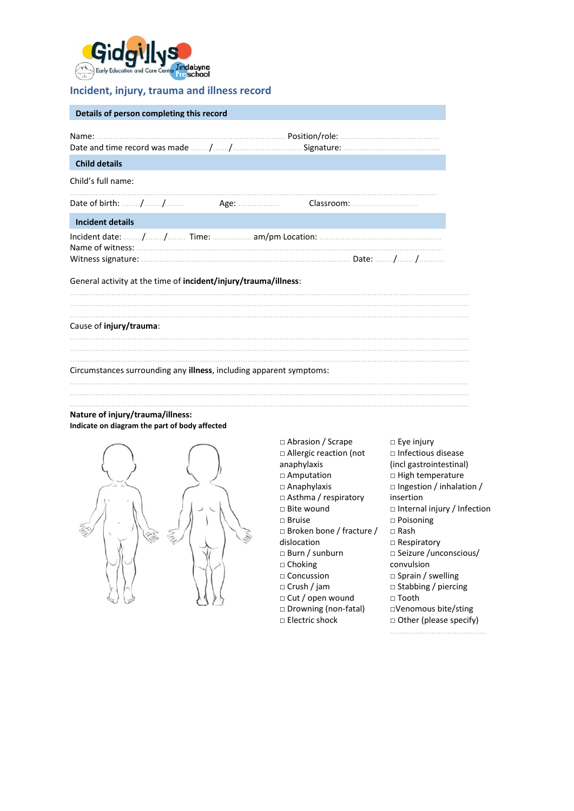

#### Incident, injury, trauma and illness record

| Details of person completing this record                                                                       |  |  |  |  |
|----------------------------------------------------------------------------------------------------------------|--|--|--|--|
|                                                                                                                |  |  |  |  |
| <b>Child details</b>                                                                                           |  |  |  |  |
| Child's full name:                                                                                             |  |  |  |  |
|                                                                                                                |  |  |  |  |
| <b>Incident details</b>                                                                                        |  |  |  |  |
| General activity at the time of <b>incident/injury/trauma/illness</b> :                                        |  |  |  |  |
|                                                                                                                |  |  |  |  |
| Cause of injury/trauma:                                                                                        |  |  |  |  |
|                                                                                                                |  |  |  |  |
| Circumstances surrounding any <b>illness</b> , including apparent symptoms:                                    |  |  |  |  |
|                                                                                                                |  |  |  |  |
| and the second control of the second second the second second second second second second second second second |  |  |  |  |

#### Nature of injury/trauma/illness: Indicate on diagram the part of body affected



□ Abrasion / Scrape □ Allergic reaction (not anaphylaxis □ Amputation □ Anaphylaxis □ Asthma / respiratory insertion □ Bite wound  $\square$  Bruise □ Broken bone / fracture /  $\square$  Rash dislocation □ Burn / sunburn  $\Box$  Choking □ Concussion  $\Box$  Crush / jam □ Cut / open wound □ Tooth □ Drowning (non-fatal)  $\square$  Electric shock 

 $\square$  Eye injury  $\Box$  Infectious disease (incl gastrointestinal)  $\square$  High temperature □ Ingestion / inhalation / □ Internal injury / Infection □ Poisoning  $\Box$  Respiratory □ Seizure /unconscious/ convulsion  $\Box$  Sprain / swelling  $\Box$  Stabbing / piercing □Venomous bite/sting □ Other (please specify)